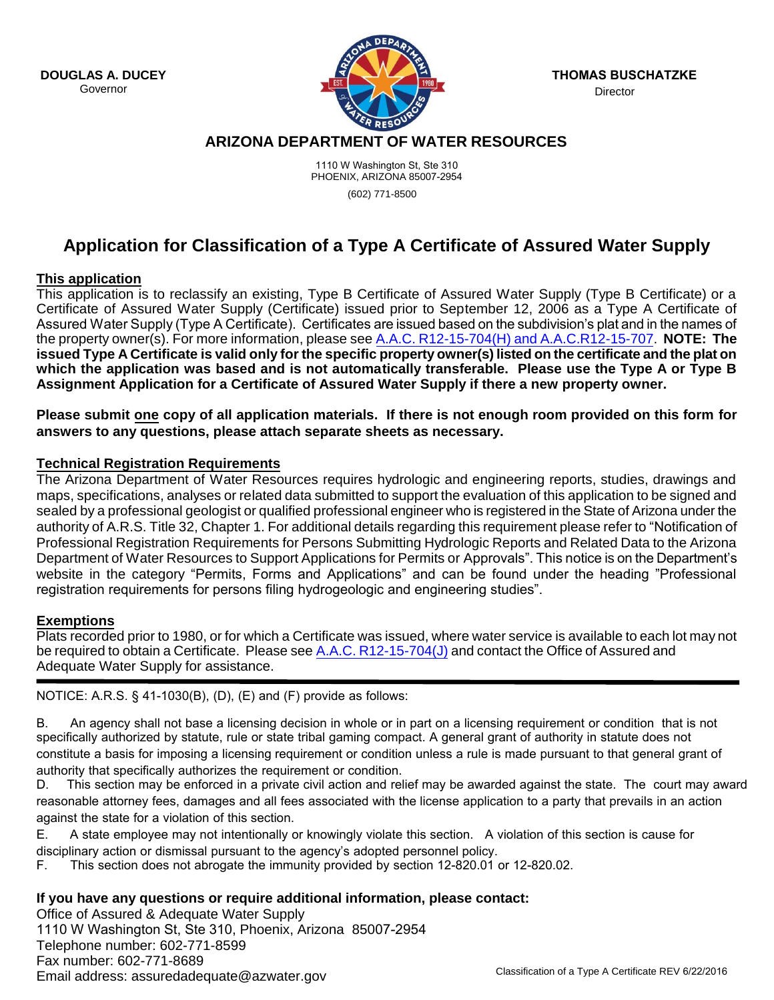**DOUGLAS A. DUCEY** Governor



**THOMAS BUSCHATZKE** Director

## **ARIZONA DEPARTMENT OF WATER RESOURCES**

1110 W Washington St, Ste 310 PHOENIX, ARIZONA 85007-2954

(602) 771-8500

# **Application for Classification of a Type A Certificate of Assured Water Supply**

## **This application**

This application is to reclassify an existing, Type B Certificate of Assured Water Supply (Type B Certificate) or a Certificate of Assured Water Supply (Certificate) issued prior to September 12, 2006 as a Type A Certificate of Assured Water Supply (Type A Certificate). Certificates are issued based on the subdivision's plat and in the names of the property owner(s). For more information, please see [A.A.C. R12-15-704\(H\) and A.A.C.R12-15-707.](http://www.azsos.gov/public_services/Title_12/12-15.htm) **NOTE: The**  issued Type A Certificate is valid only for the specific property owner(s) listed on the certificate and the plat on **which the application was based and is not automatically transferable. Please use the Type A or Type B Assignment Application for a Certificate of Assured Water Supply if there a new property owner.**

**Please submit one copy of all application materials. If there is not enough room provided on this form for answers to any questions, please attach separate sheets as necessary.** 

## **Technical Registration Requirements**

The Arizona Department of Water Resources requires hydrologic and engineering reports, studies, drawings and maps, specifications, analyses or related data submitted to support the evaluation of this application to be signed and sealed by a professional geologist or qualified professional engineer who is registered in the State of Arizona under the authority of A.R.S. Title 32, Chapter 1. For additional details regarding this requirement please refer to "Notification of Professional Registration Requirements for Persons Submitting Hydrologic Reports and Related Data to the Arizona Department of Water Resources to Support Applications for Permits or Approvals". This notice is on the Department's website in the category "Permits, Forms and Applications" and can be found under the heading "Professional registration requirements for persons filing hydrogeologic and engineering studies".

## **Exemptions**

Plats recorded prior to 1980, or for which a Certificate was issued, where water service is available to each lot may not be required to obtain a Certificate. Please see [A.A.C. R12-15-704\(J\)](http://www.azsos.gov/public_services/Title_12/12-15.htm) and contact the Office of Assured and Adequate Water Supply for assistance.

NOTICE: A.R.S. § 41-1030(B), (D), (E) and (F) provide as follows:

B. An agency shall not base a licensing decision in whole or in part on a licensing requirement or condition that is not specifically authorized by statute, rule or state tribal gaming compact. A general grant of authority in statute does not constitute a basis for imposing a licensing requirement or condition unless a rule is made pursuant to that general grant of authority that specifically authorizes the requirement or condition.

D. This section may be enforced in a private civil action and relief may be awarded against the state. The court may award reasonable attorney fees, damages and all fees associated with the license application to a party that prevails in an action against the state for a violation of this section.

E. A state employee may not intentionally or knowingly violate this section. A violation of this section is cause for

disciplinary action or dismissal pursuant to the agency's adopted personnel policy.

F. This section does not abrogate the immunity provided by section 12-820.01 or 12-820.02.

## **If you have any questions or require additional information, please contact:**

Office of Assured & Adequate Water Supply 1110 W Washington St, Ste 310, Phoenix, Arizona 85007-2954 Telephone number: 602-771-8599 Fax number: 602-771-8689 Email address: assuredadequate@azwater.gov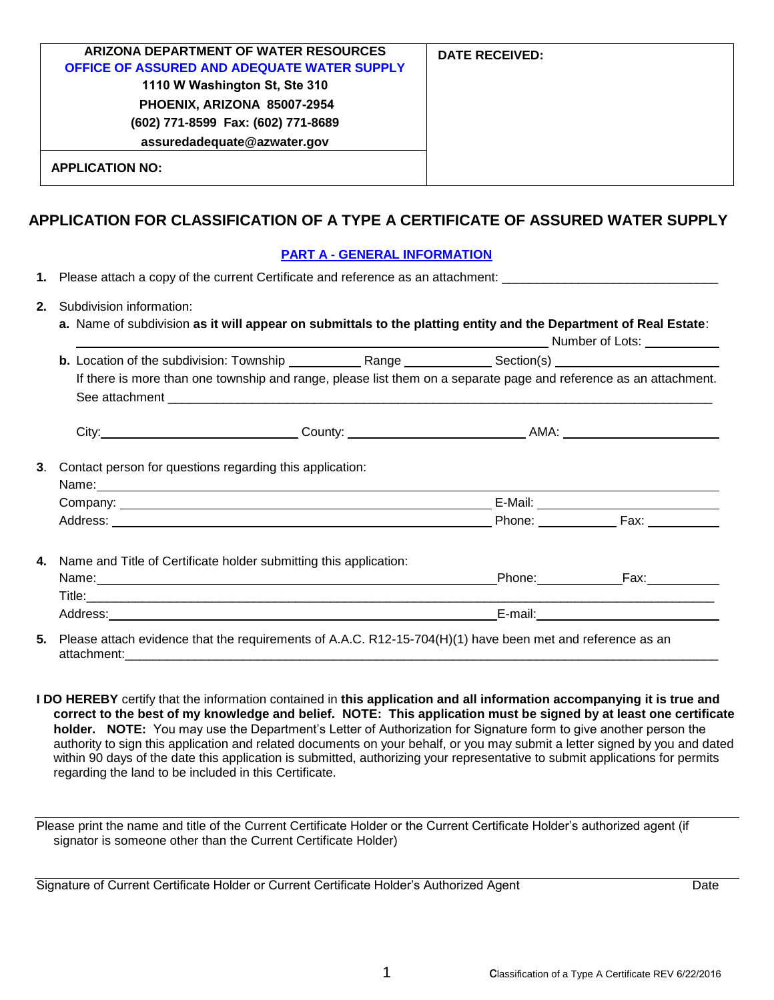| ARIZONA DEPARTMENT OF WATER RESOURCES<br>OFFICE OF ASSURED AND ADEQUATE WATER SUPPLY<br>1110 W Washington St, Ste 310 | <b>DATE RECEIVED:</b> |
|-----------------------------------------------------------------------------------------------------------------------|-----------------------|
| PHOENIX, ARIZONA 85007-2954                                                                                           |                       |
| (602) 771-8599 Fax: (602) 771-8689                                                                                    |                       |
| assuredadequate@azwater.gov                                                                                           |                       |
| <b>APPLICATION NO:</b>                                                                                                |                       |

## **APPLICATION FOR CLASSIFICATION OF A TYPE A CERTIFICATE OF ASSURED WATER SUPPLY**

## **PART A - GENERAL INFORMATION**

**1.** Please attach a copy of the current Certificate and reference as an attachment: \_\_\_\_\_\_\_\_\_\_\_\_\_\_\_\_\_\_\_\_\_\_\_\_\_\_\_

- **2.** Subdivision information:
	- **a.** Name of subdivision **as it will appear on submittals to the platting entity and the Department of Real Estate**: Number of Lots:

|                                                                      |  |  | <b>Example 2018 INSURGE 2018 INSURGE 2018 INSURGE 2018</b>                                                                                                                                                                     |
|----------------------------------------------------------------------|--|--|--------------------------------------------------------------------------------------------------------------------------------------------------------------------------------------------------------------------------------|
|                                                                      |  |  |                                                                                                                                                                                                                                |
|                                                                      |  |  | If there is more than one township and range, please list them on a separate page and reference as an attachment.                                                                                                              |
|                                                                      |  |  |                                                                                                                                                                                                                                |
|                                                                      |  |  |                                                                                                                                                                                                                                |
| Contact person for questions regarding this application:             |  |  |                                                                                                                                                                                                                                |
|                                                                      |  |  |                                                                                                                                                                                                                                |
|                                                                      |  |  |                                                                                                                                                                                                                                |
|                                                                      |  |  |                                                                                                                                                                                                                                |
| 4. Name and Title of Certificate holder submitting this application: |  |  |                                                                                                                                                                                                                                |
|                                                                      |  |  |                                                                                                                                                                                                                                |
|                                                                      |  |  |                                                                                                                                                                                                                                |
|                                                                      |  |  | and the control of the control of the control of the control of the control of the control of the control of the control of the control of the control of the control of the control of the control of the control of the cont |

**5.** Please attach evidence that the requirements of A.A.C. R12-15-704(H)(1) have been met and reference as an attachment:\_\_\_\_\_\_\_\_\_\_\_\_\_\_\_\_\_\_\_\_\_\_\_\_\_\_\_\_\_\_\_\_\_\_\_\_\_\_\_\_\_\_\_\_\_\_\_\_\_\_\_\_\_\_\_\_\_\_\_\_\_\_\_\_\_\_\_\_\_\_\_\_\_\_\_\_\_\_\_\_\_\_\_\_\_

**I DO HEREBY** certify that the information contained in **this application and all information accompanying it is true and correct to the best of my knowledge and belief. NOTE: This application must be signed by at least one certificate holder. NOTE:** You may use the Department's Letter of Authorization for Signature form to give another person the authority to sign this application and related documents on your behalf, or you may submit a letter signed by you and dated within 90 days of the date this application is submitted, authorizing your representative to submit applications for permits regarding the land to be included in this Certificate.

Please print the name and title of the Current Certificate Holder or the Current Certificate Holder's authorized agent (if signator is someone other than the Current Certificate Holder)

Signature of Current Certificate Holder or Current Certificate Holder's Authorized Agent Date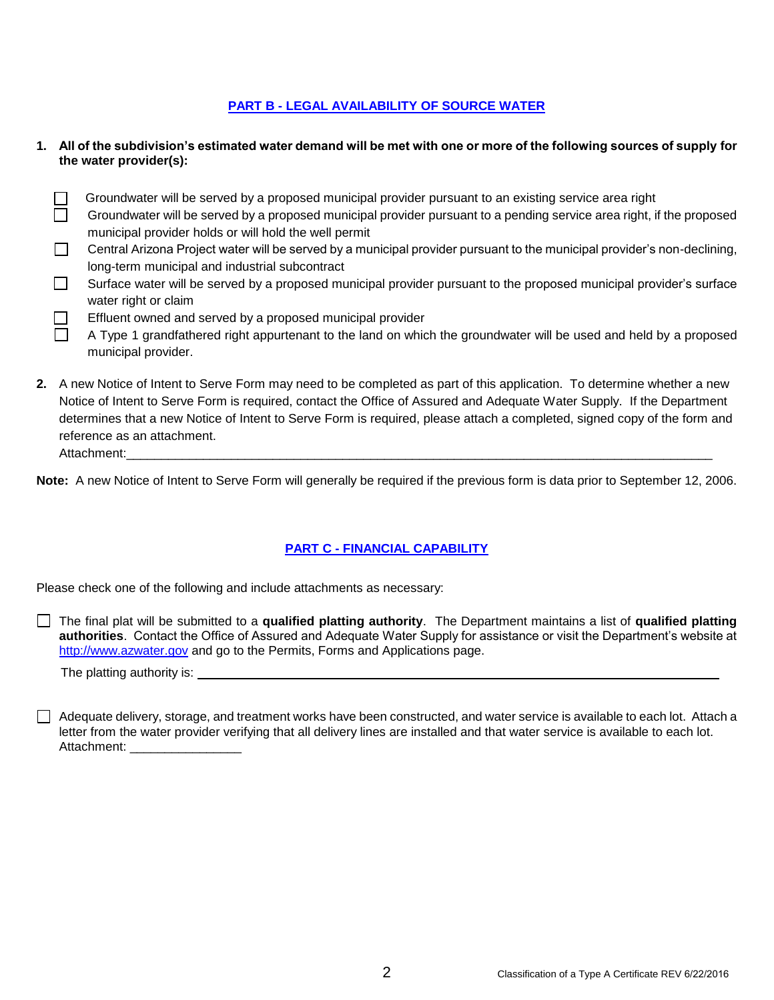#### **PART B - LEGAL AVAILABILITY OF SOURCE WATER**

- **1. All of the subdivision's estimated water demand will be met with one or more of the following sources of supply for the water provider(s):**
	- $\Box$ Groundwater will be served by a proposed municipal provider pursuant to an existing service area right
	- $\Box$ Groundwater will be served by a proposed municipal provider pursuant to a pending service area right, if the proposed municipal provider holds or will hold the well permit
	- $\Box$ Central Arizona Project water will be served by a municipal provider pursuant to the municipal provider's non-declining, long-term municipal and industrial subcontract
	- П Surface water will be served by a proposed municipal provider pursuant to the proposed municipal provider's surface water right or claim
	- П Effluent owned and served by a proposed municipal provider
		- A Type 1 grandfathered right appurtenant to the land on which the groundwater will be used and held by a proposed municipal provider.
- **2.** A new Notice of Intent to Serve Form may need to be completed as part of this application. To determine whether a new Notice of Intent to Serve Form is required, contact the Office of Assured and Adequate Water Supply. If the Department determines that a new Notice of Intent to Serve Form is required, please attach a completed, signed copy of the form and reference as an attachment. Attachment:\_\_\_\_\_\_\_\_\_\_\_\_\_\_\_\_\_\_\_\_\_\_\_\_\_\_\_\_\_\_\_\_\_\_\_\_\_\_\_\_\_\_\_\_\_\_\_\_\_\_\_\_\_\_\_\_\_\_\_\_\_\_\_\_\_\_\_\_\_\_\_\_\_\_\_\_\_\_\_\_\_\_\_\_

**Note:** A new Notice of Intent to Serve Form will generally be required if the previous form is data prior to September 12, 2006.

## **PART C - FINANCIAL CAPABILITY**

Please check one of the following and include attachments as necessary:

The final plat will be submitted to a **qualified platting authority**. The Department maintains a list of **qualified platting authorities**. Contact the Office of Assured and Adequate Water Supply for assistance or visit the Department's website at [http://www.azwater.gov](http://www.azwater.gov/) and go to the Permits, Forms and Applications page.

The platting authority is:

 $\Box$  Adequate delivery, storage, and treatment works have been constructed, and water service is available to each lot. Attach a letter from the water provider verifying that all delivery lines are installed and that water service is available to each lot. Attachment: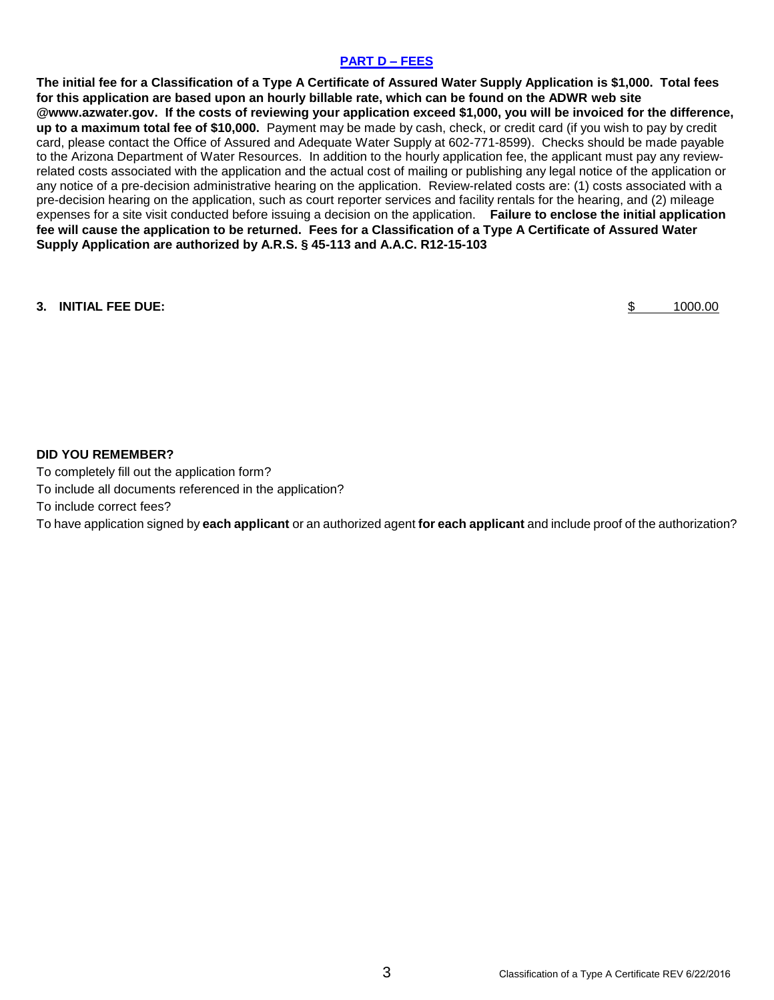#### **PART D – FEES**

**The initial fee for a Classification of a Type A Certificate of Assured Water Supply Application is \$1,000. Total fees for this application are based upon an hourly billable rate, which can be found on the ADWR web site @www.azwater.gov. If the costs of reviewing your application exceed \$1,000, you will be invoiced for the difference, up to a maximum total fee of \$10,000.** Payment may be made by cash, check, or credit card (if you wish to pay by credit card, please contact the Office of Assured and Adequate Water Supply at 602-771-8599). Checks should be made payable to the Arizona Department of Water Resources. In addition to the hourly application fee, the applicant must pay any reviewrelated costs associated with the application and the actual cost of mailing or publishing any legal notice of the application or any notice of a pre-decision administrative hearing on the application. Review-related costs are: (1) costs associated with a pre-decision hearing on the application, such as court reporter services and facility rentals for the hearing, and (2) mileage expenses for a site visit conducted before issuing a decision on the application. **Failure to enclose the initial application fee will cause the application to be returned. Fees for a Classification of a Type A Certificate of Assured Water Supply Application are authorized by A.R.S. § 45-113 and A.A.C. R12-15-103**

#### **3. INITIAL FEE DUE:** \$ 1000.00

#### **DID YOU REMEMBER?**

To completely fill out the application form? To include all documents referenced in the application? To include correct fees? To have application signed by **each applicant** or an authorized agent **for each applicant** and include proof of the authorization?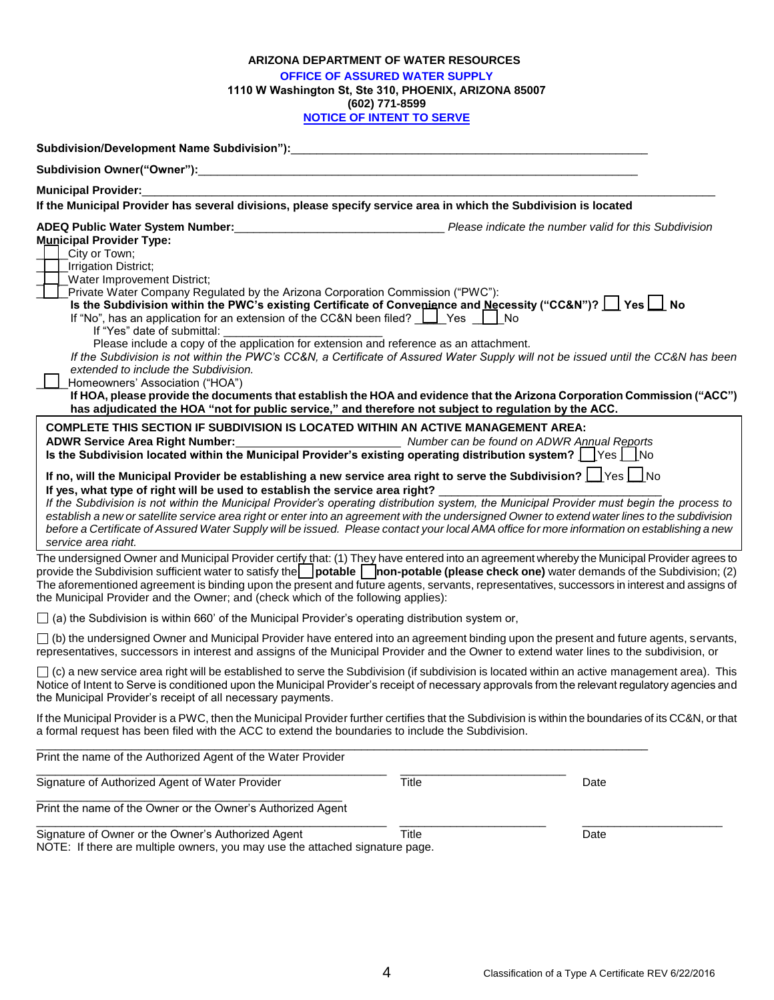#### **ARIZONA DEPARTMENT OF WATER RESOURCES OFFICE OF ASSURED WATER SUPPLY 1110 W Washington St, Ste 310, PHOENIX, ARIZONA 85007 (602) 771-8599 NOTICE OF INTENT TO SERVE**

| <b>Municipal Provider:</b>                                                                                                                                                                                                                                                                                                                                                                                                                                                                                                                                                                                                                                                                                                                                                                                                                                                                                                                                      |                                                             |      |
|-----------------------------------------------------------------------------------------------------------------------------------------------------------------------------------------------------------------------------------------------------------------------------------------------------------------------------------------------------------------------------------------------------------------------------------------------------------------------------------------------------------------------------------------------------------------------------------------------------------------------------------------------------------------------------------------------------------------------------------------------------------------------------------------------------------------------------------------------------------------------------------------------------------------------------------------------------------------|-------------------------------------------------------------|------|
| If the Municipal Provider has several divisions, please specify service area in which the Subdivision is located                                                                                                                                                                                                                                                                                                                                                                                                                                                                                                                                                                                                                                                                                                                                                                                                                                                |                                                             |      |
| ADEQ Public Water System Number:<br><b>Municipal Provider Type:</b><br>City or Town;<br><b>Irrigation District;</b><br><b>Water Improvement District;</b><br>Private Water Company Regulated by the Arizona Corporation Commission ("PWC"):<br>Is the Subdivision within the PWC's existing Certificate of Convenience and Necessity ("CC&N")?   Yes   No<br>If "No", has an application for an extension of the CC&N been filed? $\Box$ Yes $\Box$<br>If "Yes" date of submittal:<br>Please include a copy of the application for extension and reference as an attachment.<br>If the Subdivision is not within the PWC's CC&N, a Certificate of Assured Water Supply will not be issued until the CC&N has been<br>extended to include the Subdivision.<br>Homeowners' Association ("HOA")<br>If HOA, please provide the documents that establish the HOA and evidence that the Arizona Corporation Commission ("ACC")                                        | Please indicate the number valid for this Subdivision<br>No |      |
| has adjudicated the HOA "not for public service," and therefore not subject to regulation by the ACC.                                                                                                                                                                                                                                                                                                                                                                                                                                                                                                                                                                                                                                                                                                                                                                                                                                                           |                                                             |      |
| <b>COMPLETE THIS SECTION IF SUBDIVISION IS LOCATED WITHIN AN ACTIVE MANAGEMENT AREA:</b><br>ADWR Service Area Right Number: Number San ADWR Annual Reports<br>Is the Subdivision located within the Municipal Provider's existing operating distribution system? $\Box$ Yes $\Box$ No<br>If no, will the Municipal Provider be establishing a new service area right to serve the Subdivision?   Yes   No<br>If yes, what type of right will be used to establish the service area right?<br>If the Subdivision is not within the Municipal Provider's operating distribution system, the Municipal Provider must begin the process to<br>establish a new or satellite service area right or enter into an agreement with the undersigned Owner to extend water lines to the subdivision<br>before a Certificate of Assured Water Supply will be issued. Please contact your local AMA office for more information on establishing a new<br>service area right. |                                                             |      |
| The undersigned Owner and Municipal Provider certif <u>v t</u> hat: (1) They have entered into an agreement whereby the Municipal Provider agrees to<br>provide the Subdivision sufficient water to satisfy the potable non-potable (please check one) water demands of the Subdivision; (2)<br>The aforementioned agreement is binding upon the present and future agents, servants, representatives, successors in interest and assigns of<br>the Municipal Provider and the Owner; and (check which of the following applies):                                                                                                                                                                                                                                                                                                                                                                                                                               |                                                             |      |
| $\Box$ (a) the Subdivision is within 660' of the Municipal Provider's operating distribution system or,                                                                                                                                                                                                                                                                                                                                                                                                                                                                                                                                                                                                                                                                                                                                                                                                                                                         |                                                             |      |
| $\Box$ (b) the undersigned Owner and Municipal Provider have entered into an agreement binding upon the present and future agents, servants,<br>representatives, successors in interest and assigns of the Municipal Provider and the Owner to extend water lines to the subdivision, or                                                                                                                                                                                                                                                                                                                                                                                                                                                                                                                                                                                                                                                                        |                                                             |      |
| $\Box$ (c) a new service area right will be established to serve the Subdivision (if subdivision is located within an active management area). This<br>Notice of Intent to Serve is conditioned upon the Municipal Provider's receipt of necessary approvals from the relevant regulatory agencies and<br>the Municipal Provider's receipt of all necessary payments.                                                                                                                                                                                                                                                                                                                                                                                                                                                                                                                                                                                           |                                                             |      |
| If the Municipal Provider is a PWC, then the Municipal Provider further certifies that the Subdivision is within the boundaries of its CC&N, or that<br>a formal request has been filed with the ACC to extend the boundaries to include the Subdivision.                                                                                                                                                                                                                                                                                                                                                                                                                                                                                                                                                                                                                                                                                                       |                                                             |      |
| Print the name of the Authorized Agent of the Water Provider                                                                                                                                                                                                                                                                                                                                                                                                                                                                                                                                                                                                                                                                                                                                                                                                                                                                                                    |                                                             |      |
| Signature of Authorized Agent of Water Provider                                                                                                                                                                                                                                                                                                                                                                                                                                                                                                                                                                                                                                                                                                                                                                                                                                                                                                                 | <b>Title</b>                                                | Date |
| Print the name of the Owner or the Owner's Authorized Agent                                                                                                                                                                                                                                                                                                                                                                                                                                                                                                                                                                                                                                                                                                                                                                                                                                                                                                     |                                                             |      |
|                                                                                                                                                                                                                                                                                                                                                                                                                                                                                                                                                                                                                                                                                                                                                                                                                                                                                                                                                                 |                                                             |      |

Signature of Owner or the Owner's Authorized Agent Title Title The Control of Date NOTE: If there are multiple owners, you may use the attached signature page.